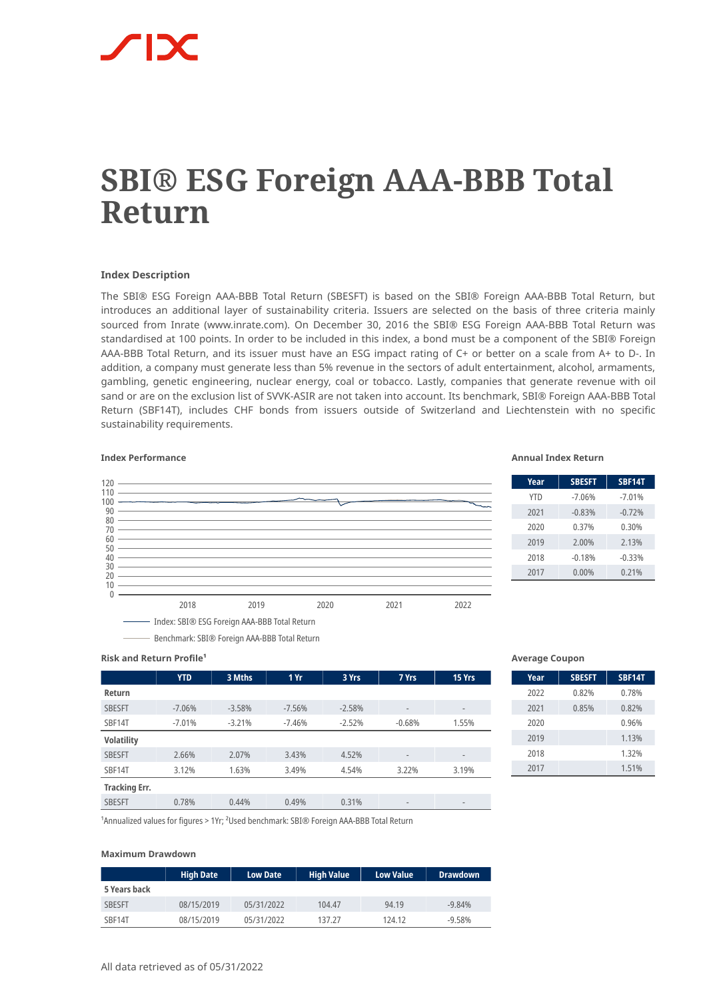# **SBI® ESG Foreign AAA-BBB Total Return**

## **Index Description**

The SBI® ESG Foreign AAA-BBB Total Return (SBESFT) is based on the SBI® Foreign AAA-BBB Total Return, but introduces an additional layer of sustainability criteria. Issuers are selected on the basis of three criteria mainly sourced from Inrate (www.inrate.com). On December 30, 2016 the SBI® ESG Foreign AAA-BBB Total Return was standardised at 100 points. In order to be included in this index, a bond must be a component of the SBI® Foreign AAA-BBB Total Return, and its issuer must have an ESG impact rating of C+ or better on a scale from A+ to D-. In addition, a company must generate less than 5% revenue in the sectors of adult entertainment, alcohol, armaments, gambling, genetic engineering, nuclear energy, coal or tobacco. Lastly, companies that generate revenue with oil sand or are on the exclusion list of SVVK-ASIR are not taken into account. Its benchmark, SBI® Foreign AAA-BBB Total Return (SBF14T), includes CHF bonds from issuers outside of Switzerland and Liechtenstein with no specific sustainability requirements.

#### **Index Performance Annual Index Return**



| Year       | <b>SBESFT</b> | <b>SBF14T</b> |
|------------|---------------|---------------|
| <b>YTD</b> | $-7.06%$      | $-7.01%$      |
| 2021       | $-0.83%$      | $-0.72%$      |
| 2020       | 0.37%         | 0.30%         |
| 2019       | 2.00%         | 2.13%         |
| 2018       | $-0.18%$      | $-0.33%$      |
| 2017       | $0.00\%$      | 0.21%         |

# **Risk and Return Profile<sup>1</sup>**

|                      | <b>YTD</b> | 3 Mths   | 1 Yr     | 3 Yrs    | 7 Yrs                    | 15 Yrs                   |
|----------------------|------------|----------|----------|----------|--------------------------|--------------------------|
| Return               |            |          |          |          |                          |                          |
| <b>SBESFT</b>        | $-7.06%$   | $-3.58%$ | $-7.56%$ | $-2.58%$ | $\overline{\phantom{a}}$ | $\overline{\phantom{a}}$ |
| SBF14T               | $-7.01%$   | $-3.21%$ | $-7.46%$ | $-2.52%$ | $-0.68%$                 | 1.55%                    |
| <b>Volatility</b>    |            |          |          |          |                          |                          |
| <b>SBESFT</b>        | 2.66%      | 2.07%    | 3.43%    | 4.52%    | $\overline{\phantom{a}}$ | $\overline{\phantom{a}}$ |
| SBF14T               | 3.12%      | 1.63%    | 3.49%    | 4.54%    | 3.22%                    | 3.19%                    |
| <b>Tracking Err.</b> |            |          |          |          |                          |                          |
| <b>SBESFT</b>        | 0.78%      | 0.44%    | 0.49%    | 0.31%    | $\overline{\phantom{a}}$ | $\qquad \qquad =$        |

#### **Average Coupon**

| Year | <b>SBESFT</b> | <b>SBF14T</b> |
|------|---------------|---------------|
| 2022 | 0.82%         | 0.78%         |
| 2021 | 0.85%         | 0.82%         |
| 2020 |               | 0.96%         |
| 2019 |               | 1.13%         |
| 2018 |               | 1.32%         |
| 2017 |               | 1.51%         |

<sup>1</sup> Annualized values for figures > 1Yr; <sup>2</sup> Used benchmark: SBI® Foreign AAA-BBB Total Return

Benchmark: SBI® Foreign AAA-BBB Total Return

#### **Maximum Drawdown**

|               | <b>High Date</b> | <b>Low Date</b> | <b>High Value</b> | <b>Low Value</b> | <b>Drawdown</b> |
|---------------|------------------|-----------------|-------------------|------------------|-----------------|
| 5 Years back  |                  |                 |                   |                  |                 |
| <b>SBESFT</b> | 08/15/2019       | 05/31/2022      | 104.47            | 94.19            | $-9.84%$        |
| SBF14T        | 08/15/2019       | 05/31/2022      | 137.27            | 124.12           | $-9.58%$        |